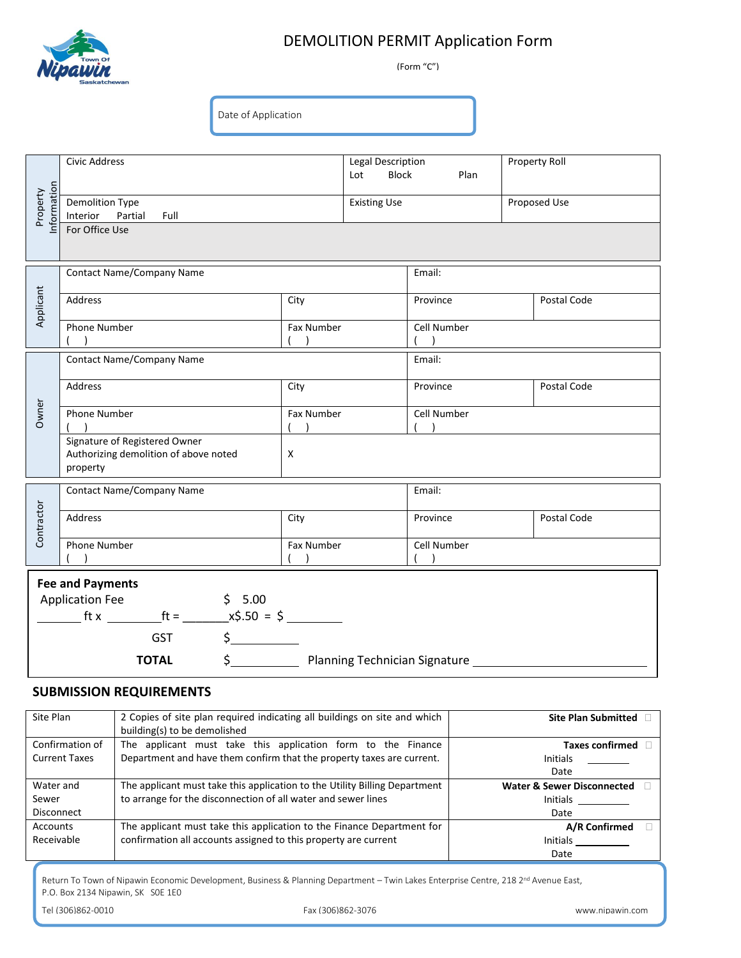

## DEMOLITION PERMIT Application Form

(Form "C")

Date of Application

| Information<br>Property                                                                                                                                                                                                                                                                                                     | <b>Civic Address</b>                                                               |      | Legal Description<br>Lot | Block<br>Plan                |              | Property Roll |  |
|-----------------------------------------------------------------------------------------------------------------------------------------------------------------------------------------------------------------------------------------------------------------------------------------------------------------------------|------------------------------------------------------------------------------------|------|--------------------------|------------------------------|--------------|---------------|--|
|                                                                                                                                                                                                                                                                                                                             | Demolition Type<br>Interior Partial<br>Full                                        |      | <b>Existing Use</b>      |                              | Proposed Use |               |  |
|                                                                                                                                                                                                                                                                                                                             | For Office Use                                                                     |      |                          |                              |              |               |  |
|                                                                                                                                                                                                                                                                                                                             |                                                                                    |      |                          |                              |              |               |  |
| Applicant                                                                                                                                                                                                                                                                                                                   | <b>Contact Name/Company Name</b>                                                   |      |                          | Email:                       |              |               |  |
|                                                                                                                                                                                                                                                                                                                             | Address<br>City                                                                    |      |                          | Province                     |              | Postal Code   |  |
|                                                                                                                                                                                                                                                                                                                             | Phone Number<br>Fax Number<br>( )                                                  |      |                          | Cell Number<br>$\rightarrow$ |              |               |  |
| Owner                                                                                                                                                                                                                                                                                                                       | <b>Contact Name/Company Name</b>                                                   |      |                          | Email:                       |              |               |  |
|                                                                                                                                                                                                                                                                                                                             | Address<br>City                                                                    |      |                          | Province                     |              | Postal Code   |  |
|                                                                                                                                                                                                                                                                                                                             | Phone Number<br>Fax Number<br>(                                                    |      |                          | Cell Number                  |              |               |  |
|                                                                                                                                                                                                                                                                                                                             | Signature of Registered Owner<br>Authorizing demolition of above noted<br>property |      |                          |                              |              |               |  |
| Contractor                                                                                                                                                                                                                                                                                                                  | <b>Contact Name/Company Name</b>                                                   |      |                          | Email:                       |              |               |  |
|                                                                                                                                                                                                                                                                                                                             | Address                                                                            | City |                          | Province                     |              | Postal Code   |  |
|                                                                                                                                                                                                                                                                                                                             | Phone Number<br>Fax Number                                                         |      |                          | Cell Number                  |              |               |  |
| <b>Fee and Payments</b>                                                                                                                                                                                                                                                                                                     |                                                                                    |      |                          |                              |              |               |  |
| <b>Application Fee</b><br>\$5.00<br>$f(x) = f(x)$ fix $f(x) = f(x)$ fix $f(x) = f(x)$ fix $f(x) = f(x)$ fixed $f(x) = f(x)$ fixed $f(x) = f(x)$ fixed $f(x) = f(x)$ fixed $f(x) = f(x)$ fixed $f(x) = f(x)$ fixed $f(x) = f(x)$ fixed $f(x) = f(x)$ fixed $f(x) = f(x)$ fixed $f(x) = f(x)$ fixed $f(x) = f(x)$ fixed $f(x$ |                                                                                    |      |                          |                              |              |               |  |
| $\sharp$<br><b>GST</b>                                                                                                                                                                                                                                                                                                      |                                                                                    |      |                          |                              |              |               |  |
| $\frac{\zeta_{\frac{1}{2}}}{\zeta_{\frac{1}{2}}}{\zeta_{\frac{1}{2}}}$<br>Planning Technician Signature _________<br><b>TOTAL</b>                                                                                                                                                                                           |                                                                                    |      |                          |                              |              |               |  |

## **SUBMISSION REQUIREMENTS**

| Site Plan            | 2 Copies of site plan required indicating all buildings on site and which  | <b>Site Plan Submitted</b>            |  |  |
|----------------------|----------------------------------------------------------------------------|---------------------------------------|--|--|
|                      | building(s) to be demolished                                               |                                       |  |  |
| Confirmation of      | The applicant must take this application form to the Finance               | <b>Taxes confirmed</b>                |  |  |
| <b>Current Taxes</b> | Department and have them confirm that the property taxes are current.      | <b>Initials</b>                       |  |  |
|                      |                                                                            | Date                                  |  |  |
| Water and            | The applicant must take this application to the Utility Billing Department | <b>Water &amp; Sewer Disconnected</b> |  |  |
| Sewer                | to arrange for the disconnection of all water and sewer lines              | <b>Initials</b>                       |  |  |
| <b>Disconnect</b>    |                                                                            | Date                                  |  |  |
| Accounts             | The applicant must take this application to the Finance Department for     | A/R Confirmed                         |  |  |
| Receivable           | confirmation all accounts assigned to this property are current            | <b>Initials</b>                       |  |  |
|                      |                                                                            | Date                                  |  |  |

Return To Town of Nipawin Economic Development, Business & Planning Department – Twin Lakes Enterprise Centre, 218 2<sup>nd</sup> Avenue East, P.O. Box 2134 Nipawin, SK S0E 1E0